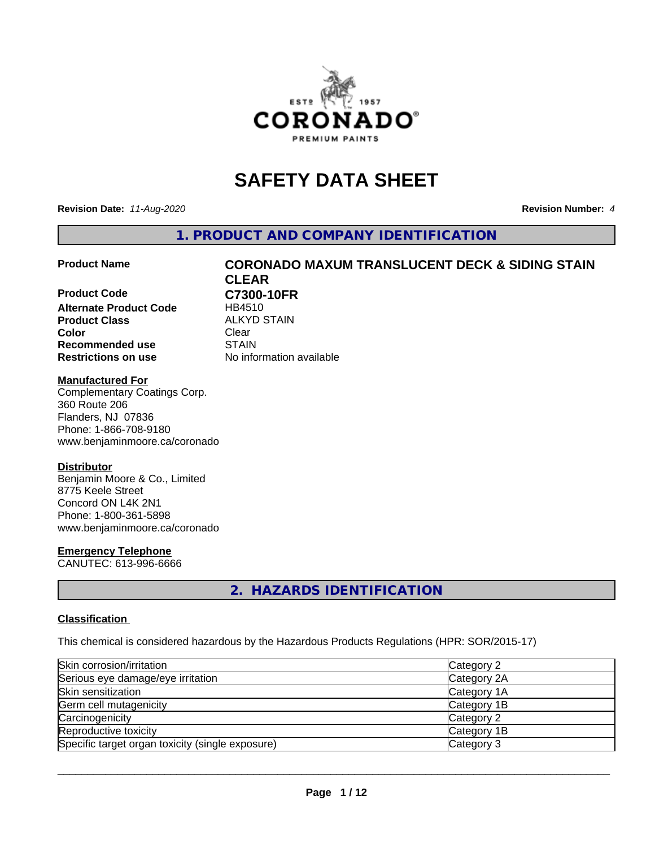

# **SAFETY DATA SHEET**

**Revision Date:** *11-Aug-2020* **Revision Number:** *4*

**1. PRODUCT AND COMPANY IDENTIFICATION**

**Product Code C7300-10FR Alternate Product Code** HB4510 **Product Class ALKYD STAIN**<br> **Color** Clear **Color** Clear Clear **Recommended use STAIN Restrictions on use** No information available

# **Product Name CORONADO MAXUM TRANSLUCENT DECK & SIDING STAIN CLEAR**

# **Manufactured For**

Complementary Coatings Corp. 360 Route 206 Flanders, NJ 07836 Phone: 1-866-708-9180 www.benjaminmoore.ca/coronado

# **Distributor**

Benjamin Moore & Co., Limited 8775 Keele Street Concord ON L4K 2N1 Phone: 1-800-361-5898 www.benjaminmoore.ca/coronado

# **Emergency Telephone**

CANUTEC: 613-996-6666

# **2. HAZARDS IDENTIFICATION**

# **Classification**

This chemical is considered hazardous by the Hazardous Products Regulations (HPR: SOR/2015-17)

| Skin corrosion/irritation                        | Category 2  |
|--------------------------------------------------|-------------|
| Serious eye damage/eye irritation                | Category 2A |
| Skin sensitization                               | Category 1A |
| Germ cell mutagenicity                           | Category 1B |
| Carcinogenicity                                  | Category 2  |
| Reproductive toxicity                            | Category 1B |
| Specific target organ toxicity (single exposure) | Category 3  |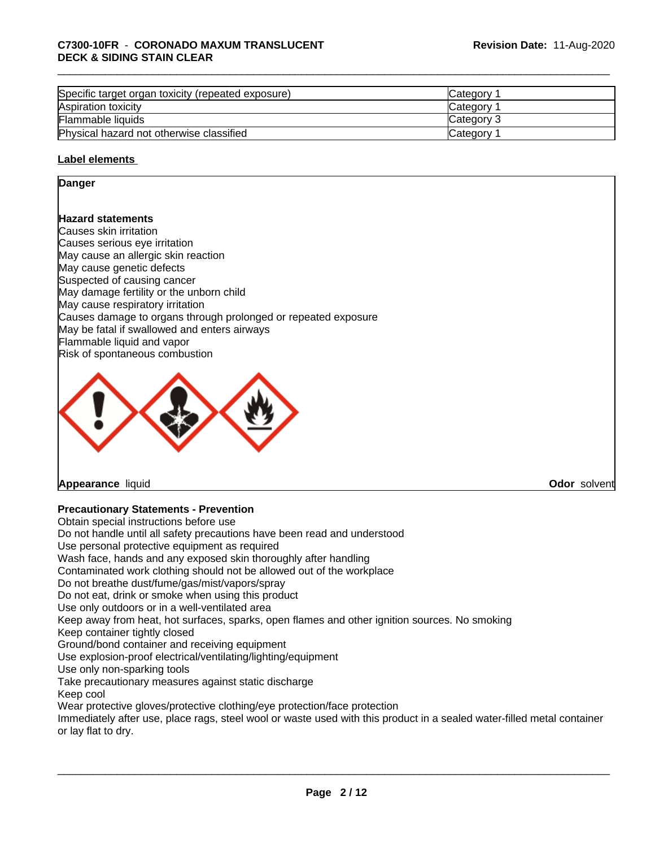# \_\_\_\_\_\_\_\_\_\_\_\_\_\_\_\_\_\_\_\_\_\_\_\_\_\_\_\_\_\_\_\_\_\_\_\_\_\_\_\_\_\_\_\_\_\_\_\_\_\_\_\_\_\_\_\_\_\_\_\_\_\_\_\_\_\_\_\_\_\_\_\_\_\_\_\_\_\_\_\_\_\_\_\_\_\_\_\_\_\_\_\_\_ **C7300-10FR** - **CORONADO MAXUM TRANSLUCENT DECK & SIDING STAIN CLEAR**

| Specific target organ toxicity (repeated exposure) | Category        |  |
|----------------------------------------------------|-----------------|--|
| Aspiration toxicity                                | Category        |  |
| Flammable liquids                                  | Category 3      |  |
| Physical hazard not otherwise classified           | <b>Category</b> |  |

# **Label elements**

# **Danger**

# **Hazard statements**

Causes skin irritation Causes serious eye irritation May cause an allergic skin reaction May cause genetic defects Suspected of causing cancer May damage fertility or the unborn child May cause respiratory irritation Causes damage to organs through prolonged or repeated exposure May be fatal if swallowed and enters airways Flammable liquid and vapor Risk of spontaneous combustion



# **Appearance** liquid **Odor** solvent

# **Precautionary Statements - Prevention**

Obtain special instructions before use Do not handle until all safety precautions have been read and understood Use personal protective equipment as required Wash face, hands and any exposed skin thoroughly after handling Contaminated work clothing should not be allowed out of the workplace Do not breathe dust/fume/gas/mist/vapors/spray Do not eat, drink or smoke when using this product Use only outdoors or in a well-ventilated area Keep away from heat, hot surfaces, sparks, open flames and other ignition sources. No smoking Keep container tightly closed Ground/bond container and receiving equipment Use explosion-proof electrical/ventilating/lighting/equipment Use only non-sparking tools Take precautionary measures against static discharge Keep cool Wear protective gloves/protective clothing/eye protection/face protection Immediately after use, place rags, steel wool or waste used with this product in a sealed water-filled metal container or lay flat to dry.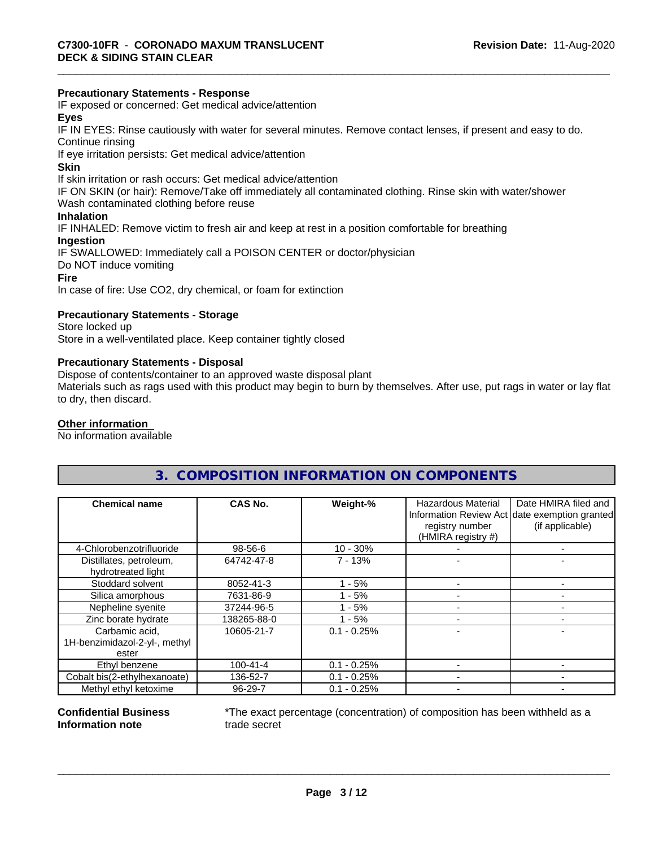# **Precautionary Statements - Response**

IF exposed or concerned: Get medical advice/attention

# **Eyes**

IF IN EYES: Rinse cautiously with water forseveral minutes. Remove contact lenses, if present and easy to do. Continue rinsing

If eye irritation persists: Get medical advice/attention

# **Skin**

If skin irritation or rash occurs: Get medical advice/attention

IF ON SKIN (or hair): Remove/Take off immediately all contaminated clothing. Rinse skin with water/shower

Wash contaminated clothing before reuse

# **Inhalation**

IF INHALED: Remove victim to fresh air and keep at rest in a position comfortable for breathing

# **Ingestion**

IF SWALLOWED: Immediately call a POISON CENTER or doctor/physician Do NOT induce vomiting **Fire**

In case of fire: Use CO2, dry chemical, or foam for extinction

# **Precautionary Statements - Storage**

Store locked up Store in a well-ventilated place. Keep container tightly closed

# **Precautionary Statements - Disposal**

Dispose of contents/container to an approved waste disposal plant

Materials such as rags used with this product may begin to burn by themselves. After use, put rags in water or lay flat to dry, then discard.

# **Other information**

No information available

# **3. COMPOSITION INFORMATION ON COMPONENTS**

| <b>Chemical name</b>                          | CAS No.        | Weight-%      | <b>Hazardous Material</b><br>registry number<br>(HMIRA registry #) | Date HMIRA filed and<br>Information Review Act date exemption granted<br>(if applicable) |
|-----------------------------------------------|----------------|---------------|--------------------------------------------------------------------|------------------------------------------------------------------------------------------|
| 4-Chlorobenzotrifluoride                      | 98-56-6        | $10 - 30%$    |                                                                    |                                                                                          |
| Distillates, petroleum,<br>hydrotreated light | 64742-47-8     | $7 - 13%$     |                                                                    |                                                                                          |
| Stoddard solvent                              | 8052-41-3      | - 5%          |                                                                    |                                                                                          |
| Silica amorphous                              | 7631-86-9      | $-5%$         |                                                                    |                                                                                          |
| Nepheline syenite                             | 37244-96-5     | - 5%          |                                                                    |                                                                                          |
| Zinc borate hydrate                           | 138265-88-0    | $-5%$         |                                                                    |                                                                                          |
| Carbamic acid.                                | 10605-21-7     | $0.1 - 0.25%$ |                                                                    |                                                                                          |
| 1H-benzimidazol-2-yl-, methyl<br>ester        |                |               |                                                                    |                                                                                          |
| Ethyl benzene                                 | $100 - 41 - 4$ | $0.1 - 0.25%$ |                                                                    |                                                                                          |
| Cobalt bis(2-ethylhexanoate)                  | 136-52-7       | $0.1 - 0.25%$ |                                                                    |                                                                                          |
| Methyl ethyl ketoxime                         | 96-29-7        | $0.1 - 0.25%$ |                                                                    |                                                                                          |

# **Confidential Business Information note**

\*The exact percentage (concentration) of composition has been withheld as a trade secret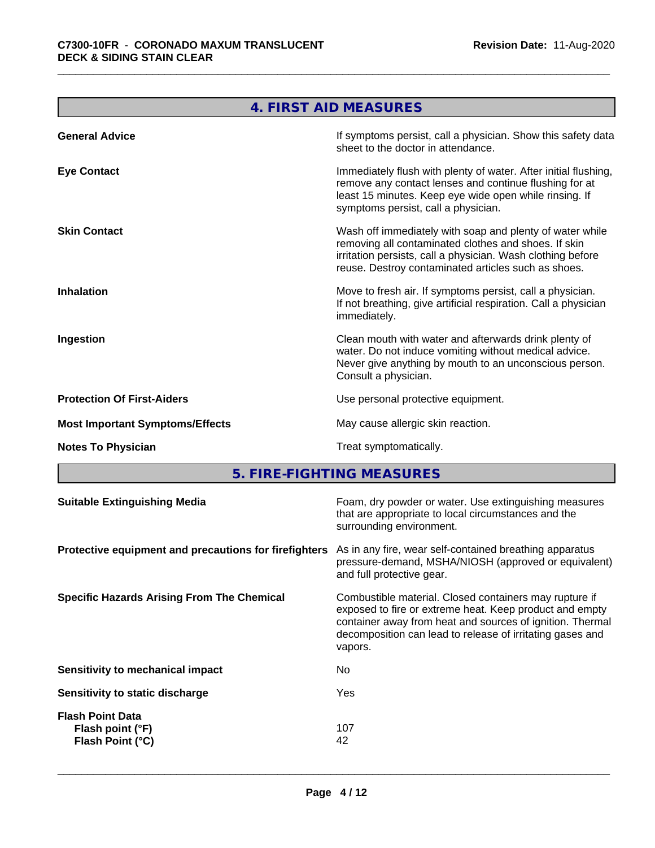**The Committee of the Committee** 

| 4. FIRST AID MEASURES                                                                                                                                                                                                                  |
|----------------------------------------------------------------------------------------------------------------------------------------------------------------------------------------------------------------------------------------|
| If symptoms persist, call a physician. Show this safety data<br>sheet to the doctor in attendance.                                                                                                                                     |
| Immediately flush with plenty of water. After initial flushing,<br>remove any contact lenses and continue flushing for at<br>least 15 minutes. Keep eye wide open while rinsing. If<br>symptoms persist, call a physician.             |
| Wash off immediately with soap and plenty of water while<br>removing all contaminated clothes and shoes. If skin<br>irritation persists, call a physician. Wash clothing before<br>reuse. Destroy contaminated articles such as shoes. |
| Move to fresh air. If symptoms persist, call a physician.<br>If not breathing, give artificial respiration. Call a physician<br>immediately.                                                                                           |
| Clean mouth with water and afterwards drink plenty of<br>water. Do not induce vomiting without medical advice.<br>Never give anything by mouth to an unconscious person.<br>Consult a physician.                                       |
| Use personal protective equipment.                                                                                                                                                                                                     |
| May cause allergic skin reaction.                                                                                                                                                                                                      |
| Treat symptomatically.                                                                                                                                                                                                                 |
|                                                                                                                                                                                                                                        |

**5. FIRE-FIGHTING MEASURES** 

| As in any fire, wear self-contained breathing apparatus<br>Protective equipment and precautions for firefighters<br>pressure-demand, MSHA/NIOSH (approved or equivalent)<br>and full protective gear.<br>Combustible material. Closed containers may rupture if<br>exposed to fire or extreme heat. Keep product and empty<br>container away from heat and sources of ignition. Thermal<br>decomposition can lead to release of irritating gases and<br>vapors.<br>No.<br>Sensitivity to mechanical impact<br>Yes<br>Sensitivity to static discharge<br><b>Flash Point Data</b><br>107<br>Flash point (°F)<br>Flash Point (°C)<br>42 | <b>Suitable Extinguishing Media</b> | Foam, dry powder or water. Use extinguishing measures<br>that are appropriate to local circumstances and the<br>surrounding environment. |
|--------------------------------------------------------------------------------------------------------------------------------------------------------------------------------------------------------------------------------------------------------------------------------------------------------------------------------------------------------------------------------------------------------------------------------------------------------------------------------------------------------------------------------------------------------------------------------------------------------------------------------------|-------------------------------------|------------------------------------------------------------------------------------------------------------------------------------------|
| <b>Specific Hazards Arising From The Chemical</b>                                                                                                                                                                                                                                                                                                                                                                                                                                                                                                                                                                                    |                                     |                                                                                                                                          |
|                                                                                                                                                                                                                                                                                                                                                                                                                                                                                                                                                                                                                                      |                                     |                                                                                                                                          |
|                                                                                                                                                                                                                                                                                                                                                                                                                                                                                                                                                                                                                                      |                                     |                                                                                                                                          |
|                                                                                                                                                                                                                                                                                                                                                                                                                                                                                                                                                                                                                                      |                                     |                                                                                                                                          |
|                                                                                                                                                                                                                                                                                                                                                                                                                                                                                                                                                                                                                                      |                                     |                                                                                                                                          |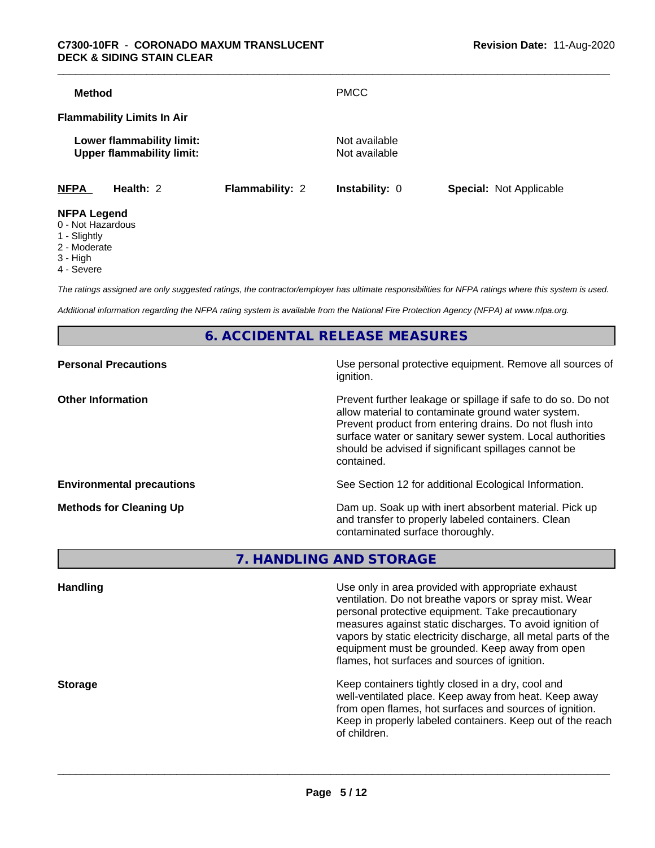# \_\_\_\_\_\_\_\_\_\_\_\_\_\_\_\_\_\_\_\_\_\_\_\_\_\_\_\_\_\_\_\_\_\_\_\_\_\_\_\_\_\_\_\_\_\_\_\_\_\_\_\_\_\_\_\_\_\_\_\_\_\_\_\_\_\_\_\_\_\_\_\_\_\_\_\_\_\_\_\_\_\_\_\_\_\_\_\_\_\_\_\_\_ **C7300-10FR** - **CORONADO MAXUM TRANSLUCENT DECK & SIDING STAIN CLEAR**

| Method             |                                                               |                        | <b>PMCC</b>                    |                                |
|--------------------|---------------------------------------------------------------|------------------------|--------------------------------|--------------------------------|
|                    | <b>Flammability Limits In Air</b>                             |                        |                                |                                |
|                    | Lower flammability limit:<br><b>Upper flammability limit:</b> |                        | Not available<br>Not available |                                |
| <b>NFPA</b>        | Health: 2                                                     | <b>Flammability: 2</b> | <b>Instability: 0</b>          | <b>Special: Not Applicable</b> |
| <b>NFPA Legend</b> |                                                               |                        |                                |                                |

- 0 Not Hazardous
- 1 Slightly
- 2 Moderate
- 3 High
- 
- 4 Severe

*The ratings assigned are only suggested ratings, the contractor/employer has ultimate responsibilities for NFPA ratings where this system is used.*

*Additional information regarding the NFPA rating system is available from the National Fire Protection Agency (NFPA) at www.nfpa.org.*

**6. ACCIDENTAL RELEASE MEASURES**

| Use personal protective equipment. Remove all sources of<br>ignition.                                                                                                                                                                                                                                            |
|------------------------------------------------------------------------------------------------------------------------------------------------------------------------------------------------------------------------------------------------------------------------------------------------------------------|
| Prevent further leakage or spillage if safe to do so. Do not<br>allow material to contaminate ground water system.<br>Prevent product from entering drains. Do not flush into<br>surface water or sanitary sewer system. Local authorities<br>should be advised if significant spillages cannot be<br>contained. |
| See Section 12 for additional Ecological Information.                                                                                                                                                                                                                                                            |
| Dam up. Soak up with inert absorbent material. Pick up<br>and transfer to properly labeled containers. Clean<br>contaminated surface thoroughly.                                                                                                                                                                 |
|                                                                                                                                                                                                                                                                                                                  |

**7. HANDLING AND STORAGE**

| <b>Handling</b> | Use only in area provided with appropriate exhaust<br>ventilation. Do not breathe vapors or spray mist. Wear<br>personal protective equipment. Take precautionary<br>measures against static discharges. To avoid ignition of<br>vapors by static electricity discharge, all metal parts of the<br>equipment must be grounded. Keep away from open<br>flames, hot surfaces and sources of ignition. |
|-----------------|-----------------------------------------------------------------------------------------------------------------------------------------------------------------------------------------------------------------------------------------------------------------------------------------------------------------------------------------------------------------------------------------------------|
| <b>Storage</b>  | Keep containers tightly closed in a dry, cool and<br>well-ventilated place. Keep away from heat. Keep away<br>from open flames, hot surfaces and sources of ignition.<br>Keep in properly labeled containers. Keep out of the reach<br>of children.                                                                                                                                                 |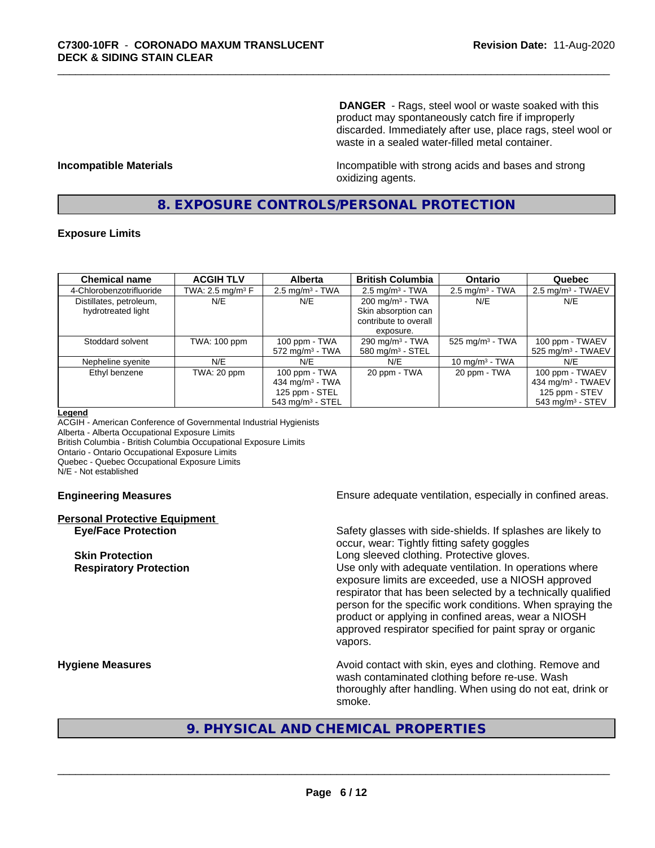**DANGER** - Rags, steel wool or waste soaked with this product may spontaneously catch fire if improperly discarded. Immediately after use, place rags, steel wool or waste in a sealed water-filled metal container.

**Incompatible Materials Incompatible with strong acids and bases and strong** oxidizing agents.

# **8. EXPOSURE CONTROLS/PERSONAL PROTECTION**

# **Exposure Limits**

| <b>Chemical name</b>                          | <b>ACGIH TLV</b>    | <b>Alberta</b>                                                                          | <b>British Columbia</b>                                                                 | <b>Ontario</b>                | Quebec                                                                                               |
|-----------------------------------------------|---------------------|-----------------------------------------------------------------------------------------|-----------------------------------------------------------------------------------------|-------------------------------|------------------------------------------------------------------------------------------------------|
| 4-Chlorobenzotrifluoride                      | TWA: 2.5 mg/m $3$ F | $2.5$ mg/m <sup>3</sup> - TWA                                                           | $2.5 \text{ mg/m}^3$ - TWA                                                              | $2.5$ mg/m <sup>3</sup> - TWA | $2.5 \text{ mg/m}^3$ - TWAEV                                                                         |
| Distillates, petroleum,<br>hydrotreated light | N/E                 | N/E                                                                                     | $200 \text{ mg/m}^3$ - TWA<br>Skin absorption can<br>contribute to overall<br>exposure. | N/E                           | N/E                                                                                                  |
| Stoddard solvent                              | TWA: 100 ppm        | 100 ppm - TWA<br>$572$ mg/m <sup>3</sup> - TWA                                          | 290 mg/m $3$ - TWA<br>580 mg/m $3 -$ STEL                                               | $525$ mg/m <sup>3</sup> - TWA | 100 ppm - TWAEV<br>$525$ mg/m <sup>3</sup> - TWAEV                                                   |
| Nepheline syenite                             | N/E                 | N/E                                                                                     | N/E                                                                                     | 10 mg/m $3$ - TWA             | N/E                                                                                                  |
| Ethyl benzene                                 | TWA: 20 ppm         | 100 ppm - TWA<br>434 mg/m $3$ - TWA<br>125 ppm - STEL<br>$543$ mg/m <sup>3</sup> - STEL | 20 ppm - TWA                                                                            | 20 ppm - TWA                  | 100 ppm - TWAEV<br>434 mg/m <sup>3</sup> - TWAEV<br>125 ppm - STEV<br>$543$ mg/m <sup>3</sup> - STEV |

### **Legend**

ACGIH - American Conference of Governmental Industrial Hygienists Alberta - Alberta Occupational Exposure Limits British Columbia - British Columbia Occupational Exposure Limits Ontario - Ontario Occupational Exposure Limits Quebec - Quebec Occupational Exposure Limits N/E - Not established

# **Personal Protective Equipment**

**Engineering Measures Ensure** Ensure adequate ventilation, especially in confined areas.

**Eye/Face Protection** Safety glasses with side-shields. If splashes are likely to occur, wear: Tightly fitting safety goggles **Skin Protection Skin Protection Skin Protective gloves.** Long sleeved clothing. Protective gloves. **Respiratory Protection Number 1** (Use only with adequate ventilation. In operations where exposure limits are exceeded, use a NIOSH approved respirator that has been selected by a technically qualified person for the specific work conditions. When spraying the product or applying in confined areas, wear a NIOSH approved respirator specified for paint spray or organic vapors.

**Hygiene Measures Avoid contact with skin, eyes and clothing. Remove and Avoid contact with skin, eyes and clothing. Remove and** wash contaminated clothing before re-use. Wash thoroughly after handling. When using do not eat, drink or smoke.

# **9. PHYSICAL AND CHEMICAL PROPERTIES**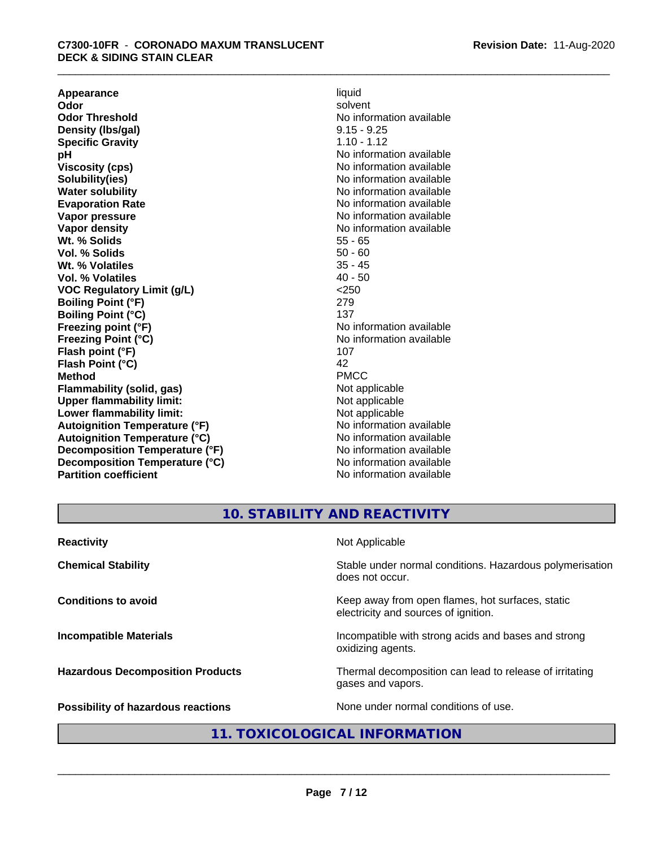**Appearance** liquid and **a liquid liquid liquid** by the liquid liquid liquid solvent **Odor** solvent **Odor Threshold** No information available **Density (lbs/gal)** 9.15 - 9.25 **Specific Gravity** 1.10 - 1.12<br> **pH** No informa **pH**<br>
Viscosity (cps) The Contract of the Contract of No information available<br>
No information available **Solubility(ies)** No information available **Water solubility** No information available **Evaporation Rate No information available No information available Vapor pressure** No information available **Vapor density No information available No** information available **Wt. % Solids** 55 - 65<br> **Vol. % Solids** 50 - 60 **Vol. % Solids** 50 - 60 **Wt. % Volatiles Vol. % Volatiles** 40 - 50 **VOC Regulatory Limit (g/L)** <250 **Boiling Point (°F)** 279 **Boiling Point (°C)** 137<br> **Preezing point (°F)** No interval 137 **Freezing Point (°C)** and **COV** No information available **Flash point (°F)** 107 **Flash Point (°C)** 42 **Method** PMCC **Flammability (solid, gas)**<br> **Upper flammability limit:**<br>
Upper flammability limit:<br>  $\begin{array}{ccc}\n\bullet & \bullet & \bullet \\
\bullet & \bullet & \bullet\n\end{array}$ **Upper flammability limit:**<br> **Lower flammability limit:**<br>
Not applicable<br>
Not applicable **Lower flammability limit:**<br> **Autoianition Temperature (°F)** Not applicable Not applicable not a Not applicable **Autoignition Temperature (°F) Autoignition Temperature (°C)** No information available **Decomposition Temperature (°F)** No information available **Decomposition Temperature (°C)** No information available **Partition coefficient** No information available

**Viscosity (cps)** No information available **No information available** 

**10. STABILITY AND REACTIVITY**

| <b>Reactivity</b>                       | Not Applicable                                                                           |
|-----------------------------------------|------------------------------------------------------------------------------------------|
| <b>Chemical Stability</b>               | Stable under normal conditions. Hazardous polymerisation<br>does not occur.              |
| <b>Conditions to avoid</b>              | Keep away from open flames, hot surfaces, static<br>electricity and sources of ignition. |
| <b>Incompatible Materials</b>           | Incompatible with strong acids and bases and strong<br>oxidizing agents.                 |
| <b>Hazardous Decomposition Products</b> | Thermal decomposition can lead to release of irritating<br>gases and vapors.             |
| Possibility of hazardous reactions      | None under normal conditions of use.                                                     |

# **11. TOXICOLOGICAL INFORMATION**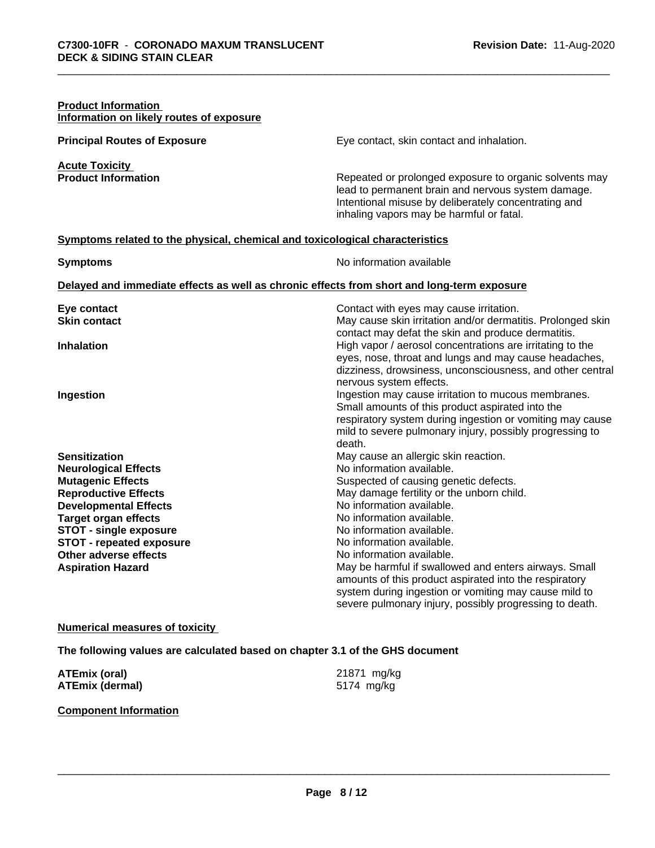# **Product Information Information on likely routes of exposure Principal Routes of Exposure Exposure** Eye contact, skin contact and inhalation. **Acute Toxicity Product Information Repeated or prolonged exposure to organic solvents may** lead to permanent brain and nervous system damage. Intentional misuse by deliberately concentrating and inhaling vapors may be harmful or fatal. **Symptoms related to the physical,chemical and toxicological characteristics Symptoms** No information available **Delayed and immediate effects as well as chronic effects from short and long-term exposure Eye contact Exercise Exercise 2** Contact with eyes may cause irritation.<br> **Skin contact Contact Contact Contact Contact** May cause skin irritation and/or dermation May cause skin irritation and/or dermatitis. Prolonged skin contact may defat the skin and produce dermatitis. **Inhalation Inhalation Inhalation Example 2 High vapor** / aerosol concentrations are irritating to the eyes, nose, throat and lungs and may cause headaches, dizziness, drowsiness, unconsciousness, and other central nervous system effects. **Ingestion Ingestion Ingestion** may cause irritation to mucous membranes. Small amounts of this product aspirated into the respiratory system during ingestion or vomiting may cause mild to severe pulmonary injury, possibly progressing to death. **Sensitization** May cause an allergic skin reaction. **Neurological Effects** Noinformation available. **Mutagenic Effects** Suspected of causing genetic defects. **Reproductive Effects** May damage fertility or the unborn child.<br> **Developmental Effects** Moinformation available. **Developmental Effects Target organ effects No information available.**<br> **STOT - single exposure No information available. STOT** - single exposure **STOT** - **repeated exposure 1988 COVER 12 Intervalsion available. Other adverse effects** No information available. Aspiration Hazard **May be harmful if swallowed and enters airways. Small** May be harmful if swallowed and enters airways. Small amounts of this product aspirated into the respiratory system during ingestion or vomiting may cause mild to severe pulmonary injury, possibly progressing to death.

# **Numerical measures of toxicity**

**The following values are calculated based on chapter 3.1 of the GHS document**

| <b>ATEmix (oral)</b>   | 21871 mg/kg |
|------------------------|-------------|
| <b>ATEmix (dermal)</b> | 5174 mg/kg  |

# **Component Information**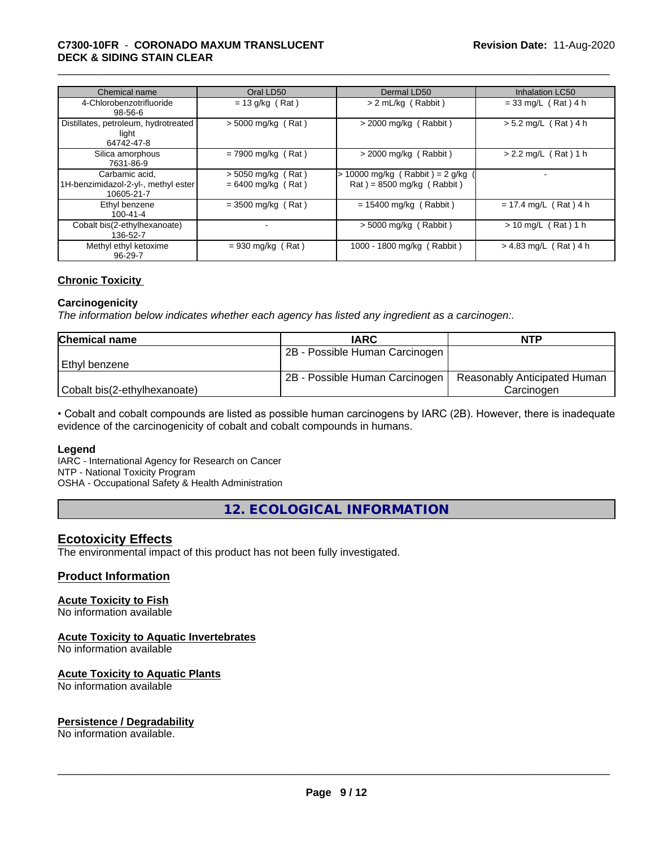# \_\_\_\_\_\_\_\_\_\_\_\_\_\_\_\_\_\_\_\_\_\_\_\_\_\_\_\_\_\_\_\_\_\_\_\_\_\_\_\_\_\_\_\_\_\_\_\_\_\_\_\_\_\_\_\_\_\_\_\_\_\_\_\_\_\_\_\_\_\_\_\_\_\_\_\_\_\_\_\_\_\_\_\_\_\_\_\_\_\_\_\_\_ **C7300-10FR** - **CORONADO MAXUM TRANSLUCENT DECK & SIDING STAIN CLEAR**

| Chemical name                                                       | Oral LD50                                    | Dermal LD50                                                    | <b>Inhalation LC50</b>  |
|---------------------------------------------------------------------|----------------------------------------------|----------------------------------------------------------------|-------------------------|
| 4-Chlorobenzotrifluoride<br>$98 - 56 - 6$                           | $= 13$ g/kg (Rat)                            | > 2 mL/kg (Rabbit)                                             | $= 33$ mg/L (Rat) 4 h   |
| Distillates, petroleum, hydrotreated<br>light<br>64742-47-8         | $>$ 5000 mg/kg (Rat)                         | $>$ 2000 mg/kg (Rabbit)                                        | $> 5.2$ mg/L (Rat) 4 h  |
| Silica amorphous<br>7631-86-9                                       | $= 7900$ mg/kg (Rat)                         | $>$ 2000 mg/kg (Rabbit)                                        | $> 2.2$ mg/L (Rat) 1 h  |
| Carbamic acid.<br>1H-benzimidazol-2-yl-, methyl ester<br>10605-21-7 | $>$ 5050 mg/kg (Rat)<br>$= 6400$ mg/kg (Rat) | > 10000 mg/kg (Rabbit) = 2 g/kg<br>$Rat$ = 8500 mg/kg (Rabbit) |                         |
| Ethyl benzene<br>$100 - 41 - 4$                                     | $=$ 3500 mg/kg (Rat)                         | $= 15400$ mg/kg (Rabbit)                                       | $= 17.4$ mg/L (Rat) 4 h |
| Cobalt bis(2-ethylhexanoate)<br>136-52-7                            |                                              | $>$ 5000 mg/kg (Rabbit)                                        | $> 10$ mg/L (Rat) 1 h   |
| Methyl ethyl ketoxime<br>$96 - 29 - 7$                              | $= 930$ mg/kg (Rat)                          | 1000 - 1800 mg/kg (Rabbit)                                     | $> 4.83$ mg/L (Rat) 4 h |

# **Chronic Toxicity**

# **Carcinogenicity**

*The information below indicateswhether each agency has listed any ingredient as a carcinogen:.*

| <b>Chemical name</b>         | <b>IARC</b>                    | <b>NTP</b>                   |
|------------------------------|--------------------------------|------------------------------|
|                              | 2B - Possible Human Carcinogen |                              |
| l Ethvl benzene              |                                |                              |
|                              | 2B - Possible Human Carcinogen | Reasonably Anticipated Human |
| Cobalt bis(2-ethylhexanoate) |                                | Carcinoɑen                   |

• Cobalt and cobalt compounds are listed as possible human carcinogens by IARC (2B). However, there is inadequate evidence of the carcinogenicity of cobalt and cobalt compounds in humans.

# **Legend**

IARC - International Agency for Research on Cancer NTP - National Toxicity Program

OSHA - Occupational Safety & Health Administration

**12. ECOLOGICAL INFORMATION**

# **Ecotoxicity Effects**

The environmental impact of this product has not been fully investigated.

# **Product Information**

# **Acute Toxicity to Fish**

No information available

# **Acute Toxicity to Aquatic Invertebrates**

No information available

# **Acute Toxicity to Aquatic Plants**

No information available

# **Persistence / Degradability**

No information available.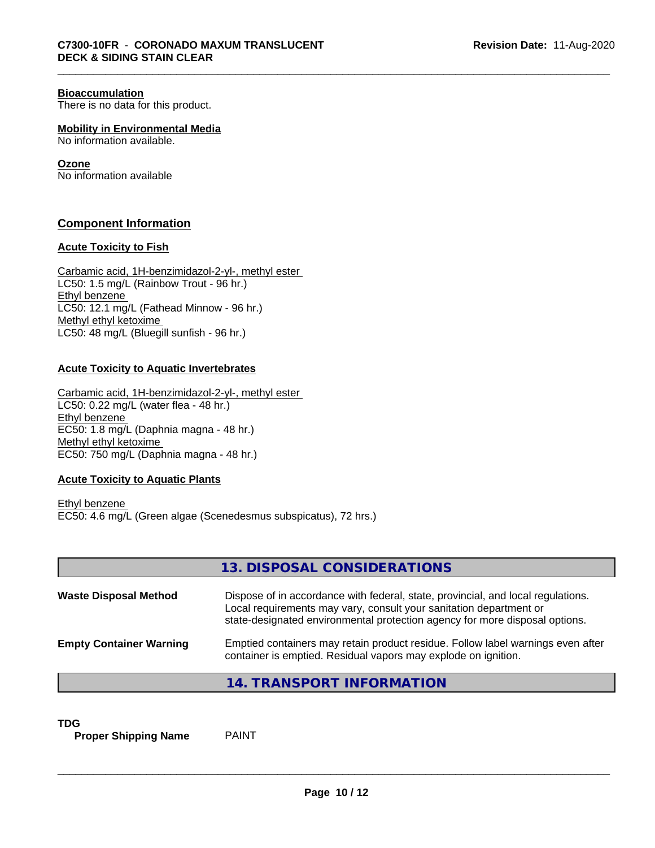# **Bioaccumulation**

There is no data for this product.

**Mobility in Environmental Media**

No information available.

# **Ozone**

No information available

# **Component Information**

# **Acute Toxicity to Fish**

Carbamic acid, 1H-benzimidazol-2-yl-, methyl ester LC50: 1.5 mg/L (Rainbow Trout - 96 hr.) Ethyl benzene LC50: 12.1 mg/L (Fathead Minnow - 96 hr.) Methyl ethyl ketoxime LC50: 48 mg/L (Bluegill sunfish - 96 hr.)

# **Acute Toxicity to Aquatic Invertebrates**

Carbamic acid, 1H-benzimidazol-2-yl-, methyl ester LC50: 0.22 mg/L (water flea - 48 hr.) Ethyl benzene EC50: 1.8 mg/L (Daphnia magna - 48 hr.) Methyl ethyl ketoxime EC50: 750 mg/L (Daphnia magna - 48 hr.)

# **Acute Toxicity to Aquatic Plants**

Ethyl benzene EC50: 4.6 mg/L (Green algae (Scenedesmus subspicatus), 72 hrs.)

|                                | 13. DISPOSAL CONSIDERATIONS                                                                                                                                                                                                           |
|--------------------------------|---------------------------------------------------------------------------------------------------------------------------------------------------------------------------------------------------------------------------------------|
| <b>Waste Disposal Method</b>   | Dispose of in accordance with federal, state, provincial, and local regulations.<br>Local requirements may vary, consult your sanitation department or<br>state-designated environmental protection agency for more disposal options. |
| <b>Empty Container Warning</b> | Emptied containers may retain product residue. Follow label warnings even after<br>container is emptied. Residual vapors may explode on ignition.                                                                                     |
|                                | 14. TRANSPORT INFORMATION                                                                                                                                                                                                             |

**TDG**<br>**Proper Shipping Name** PAINT **Proper Shipping Name**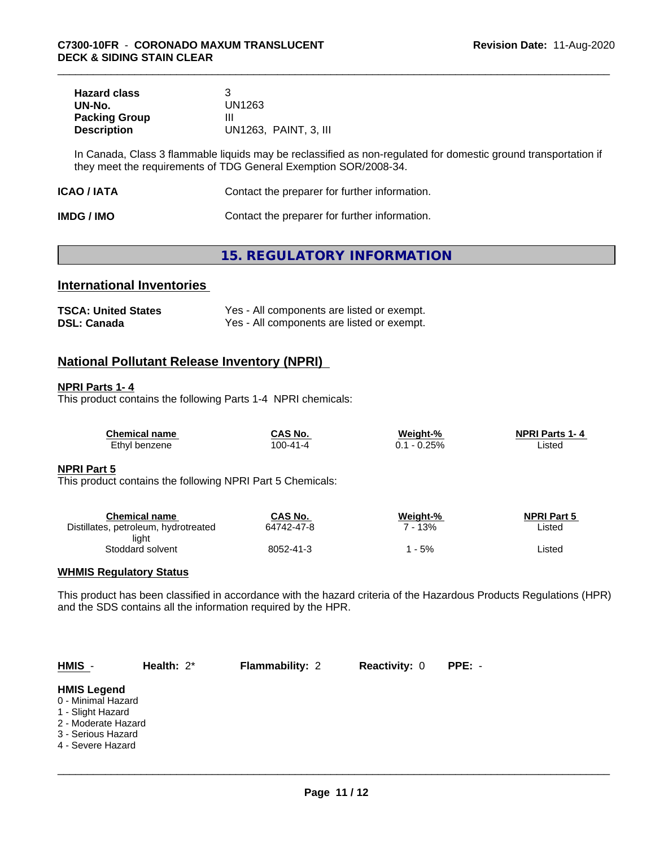| <b>Hazard class</b>  |                       |
|----------------------|-----------------------|
| UN-No.               | UN1263                |
| <b>Packing Group</b> |                       |
| <b>Description</b>   | UN1263, PAINT, 3, III |

In Canada, Class 3 flammable liquids may be reclassified as non-regulated for domestic ground transportation if they meet the requirements of TDG General Exemption SOR/2008-34.

| Contact the preparer for further information.<br>ICAO / IATA |  |
|--------------------------------------------------------------|--|
|--------------------------------------------------------------|--|

| <b>IMDG / IMO</b> | Contact the preparer for further information. |
|-------------------|-----------------------------------------------|
|-------------------|-----------------------------------------------|

# **15. REGULATORY INFORMATION**

# **International Inventories**

| <b>TSCA: United States</b> | Yes - All components are listed or exempt. |
|----------------------------|--------------------------------------------|
| <b>DSL: Canada</b>         | Yes - All components are listed or exempt. |

# **National Pollutant Release Inventory (NPRI)**

# **NPRI Parts 1- 4**

This product contains the following Parts 1-4 NPRI chemicals:

| <b>Chemical name</b> | CAS No.        | Weight-% | <b>NPRI Parts 1-4</b> |
|----------------------|----------------|----------|-----------------------|
| Ethyl benzene        | $100 - 41 - 4$ | $-0.25%$ | ∟isted                |

# **NPRI Part 5**

This product contains the following NPRI Part 5 Chemicals:

| Chemical name                        | CAS No.    | Weight-% | <b>NPRI Part 5</b> |
|--------------------------------------|------------|----------|--------------------|
| Distillates, petroleum, hydrotreated | 64742-47-8 | 13%      | Listed             |
| light                                |            |          |                    |
| Stoddard solvent                     | 8052-41-3  | - 5%     | Listed             |

# **WHMIS Regulatory Status**

This product has been classified in accordance with the hazard criteria of the Hazardous Products Regulations (HPR) and the SDS contains all the information required by the HPR.

| $HMIS -$                                                                                                                        | Health: $2^*$ | <b>Flammability: 2</b> | <b>Reactivity: 0</b> | PPE: - |  |
|---------------------------------------------------------------------------------------------------------------------------------|---------------|------------------------|----------------------|--------|--|
| <b>HMIS Legend</b><br>0 - Minimal Hazard<br>1 - Slight Hazard<br>2 - Moderate Hazard<br>3 - Serious Hazard<br>4 - Severe Hazard |               |                        |                      |        |  |
|                                                                                                                                 |               |                        |                      |        |  |